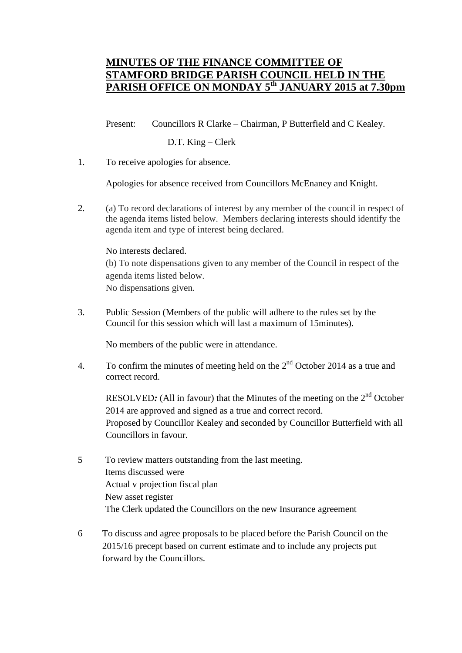## **MINUTES OF THE FINANCE COMMITTEE OF STAMFORD BRIDGE PARISH COUNCIL HELD IN THE PARISH OFFICE ON MONDAY 5th JANUARY 2015 at 7.30pm**

Present: Councillors R Clarke – Chairman, P Butterfield and C Kealey.

## D.T. King – Clerk

1. To receive apologies for absence.

Apologies for absence received from Councillors McEnaney and Knight.

2. (a) To record declarations of interest by any member of the council in respect of the agenda items listed below. Members declaring interests should identify the agenda item and type of interest being declared.

## No interests declared.

(b) To note dispensations given to any member of the Council in respect of the agenda items listed below. No dispensations given.

3. Public Session (Members of the public will adhere to the rules set by the Council for this session which will last a maximum of 15minutes).

No members of the public were in attendance.

4. To confirm the minutes of meeting held on the  $2<sup>nd</sup>$  October 2014 as a true and correct record.

RESOLVED: (All in favour) that the Minutes of the meeting on the 2<sup>nd</sup> October 2014 are approved and signed as a true and correct record. Proposed by Councillor Kealey and seconded by Councillor Butterfield with all Councillors in favour.

- 5 To review matters outstanding from the last meeting. Items discussed were Actual v projection fiscal plan New asset register The Clerk updated the Councillors on the new Insurance agreement
- 6 To discuss and agree proposals to be placed before the Parish Council on the 2015/16 precept based on current estimate and to include any projects put forward by the Councillors.